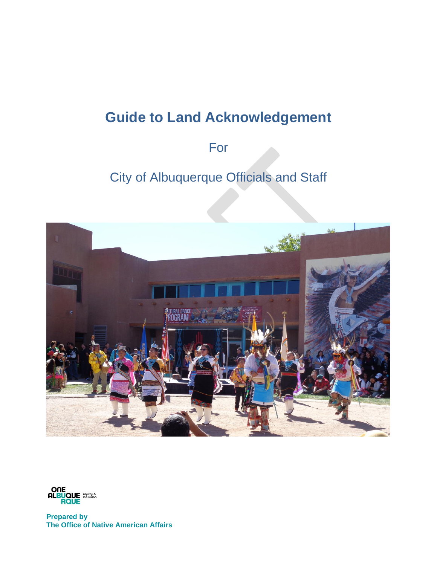# **Guide to Land Acknowledgement**

# For

# City of Albuquerque Officials and Staff





**Prepared by The Office of Native American Affairs**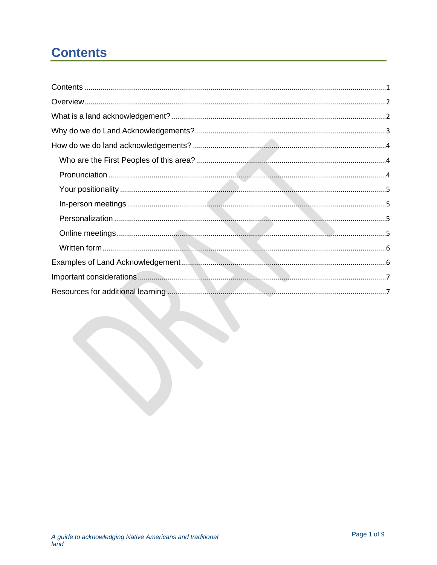# <span id="page-2-0"></span>**Contents**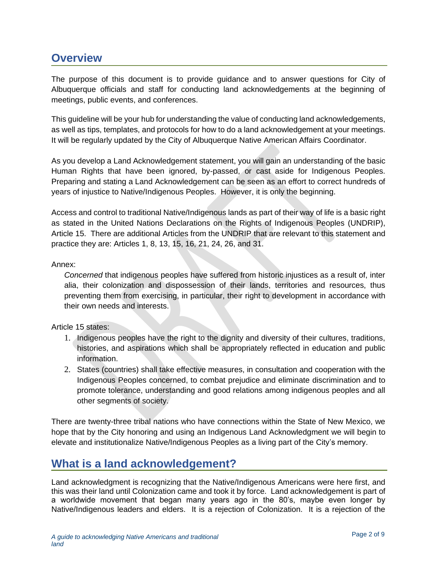## <span id="page-3-0"></span>**Overview**

The purpose of this document is to provide guidance and to answer questions for City of Albuquerque officials and staff for conducting land acknowledgements at the beginning of meetings, public events, and conferences.

This guideline will be your hub for understanding the value of conducting land acknowledgements, as well as tips, templates, and protocols for how to do a land acknowledgement at your meetings. It will be regularly updated by the City of Albuquerque Native American Affairs Coordinator.

As you develop a Land Acknowledgement statement, you will gain an understanding of the basic Human Rights that have been ignored, by-passed, or cast aside for Indigenous Peoples. Preparing and stating a Land Acknowledgement can be seen as an effort to correct hundreds of years of injustice to Native/Indigenous Peoples. However, it is only the beginning.

Access and control to traditional Native/Indigenous lands as part of their way of life is a basic right as stated in the United Nations Declarations on the Rights of Indigenous Peoples (UNDRIP), Article 15. There are additional Articles from the UNDRIP that are relevant to this statement and practice they are: Articles 1, 8, 13, 15, 16, 21, 24, 26, and 31.

### Annex:

*Concerned* that indigenous peoples have suffered from historic injustices as a result of, inter alia, their colonization and dispossession of their lands, territories and resources, thus preventing them from exercising, in particular, their right to development in accordance with their own needs and interests.

### Article 15 states:

- 1. Indigenous peoples have the right to the dignity and diversity of their cultures, traditions, histories, and aspirations which shall be appropriately reflected in education and public information.
- 2. States (countries) shall take effective measures, in consultation and cooperation with the Indigenous Peoples concerned, to combat prejudice and eliminate discrimination and to promote tolerance, understanding and good relations among indigenous peoples and all other segments of society.

There are twenty-three tribal nations who have connections within the State of New Mexico, we hope that by the City honoring and using an Indigenous Land Acknowledgment we will begin to elevate and institutionalize Native/Indigenous Peoples as a living part of the City's memory.

## <span id="page-3-1"></span>**What is a land acknowledgement?**

Land acknowledgment is recognizing that the Native/Indigenous Americans were here first, and this was their land until Colonization came and took it by force. Land acknowledgement is part of a worldwide movement that began many years ago in the 80's, maybe even longer by Native/Indigenous leaders and elders. It is a rejection of Colonization. It is a rejection of the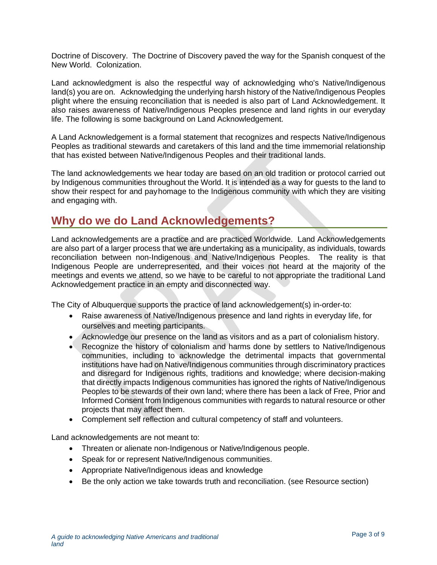Doctrine of Discovery. The Doctrine of Discovery paved the way for the Spanish conquest of the New World. Colonization.

Land acknowledgment is also the respectful way of acknowledging who's Native/Indigenous land(s) you are on. Acknowledging the underlying harsh history of the Native/Indigenous Peoples plight where the ensuing reconciliation that is needed is also part of Land Acknowledgement. It also raises awareness of Native/Indigenous Peoples presence and land rights in our everyday life. The following is some background on Land Acknowledgement.

A Land Acknowledgement is a formal statement that recognizes and respects Native/Indigenous Peoples as traditional stewards and caretakers of this land and the time immemorial relationship that has existed between Native/Indigenous Peoples and their traditional lands.

The land acknowledgements we hear today are based on an old tradition or protocol carried out by Indigenous communities throughout the World. It is intended as a way for guests to the land to show their respect for and payhomage to the Indigenous community with which they are visiting and engaging with.

## <span id="page-4-0"></span>**Why do we do Land Acknowledgements?**

Land acknowledgements are a practice and are practiced Worldwide. Land Acknowledgements are also part of a larger process that we are undertaking as a municipality, as individuals, towards reconciliation between non-Indigenous and Native/Indigenous Peoples. The reality is that Indigenous People are underrepresented, and their voices not heard at the majority of the meetings and events we attend, so we have to be careful to not appropriate the traditional Land Acknowledgement practice in an empty and disconnected way.

The City of Albuquerque supports the practice of land acknowledgement(s) in-order-to:

- Raise awareness of Native/Indigenous presence and land rights in everyday life, for ourselves and meeting participants.
- Acknowledge our presence on the land as visitors and as a part of colonialism history.
- Recognize the history of colonialism and harms done by settlers to Native/Indigenous communities, including to acknowledge the detrimental impacts that governmental institutions have had on Native/Indigenous communities through discriminatory practices and disregard for Indigenous rights, traditions and knowledge; where decision-making that directly impacts Indigenous communities has ignored the rights of Native/Indigenous Peoples to be stewards of their own land; where there has been a lack of Free, Prior and Informed Consent from Indigenous communities with regards to natural resource or other projects that may affect them.
- Complement self reflection and cultural competency of staff and volunteers.

Land acknowledgements are not meant to:

- Threaten or alienate non-Indigenous or Native/Indigenous people.
- Speak for or represent Native/Indigenous communities.
- Appropriate Native/Indigenous ideas and knowledge
- Be the only action we take towards truth and reconciliation. (see Resource section)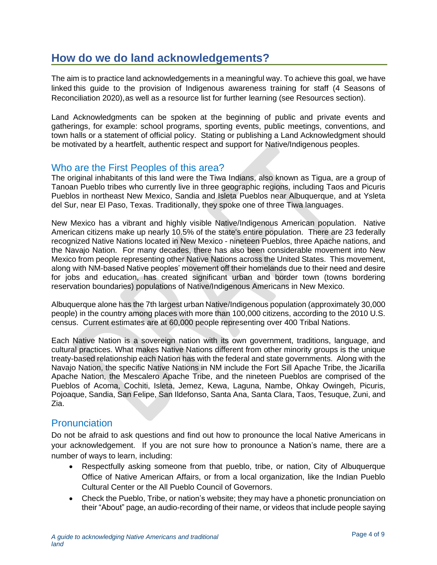# <span id="page-5-0"></span>**How do we do land acknowledgements?**

The aim is to practice land acknowledgements in a meaningful way. To achieve this goal, we have linked this guide to the provision of Indigenous awareness training for staff (4 Seasons of Reconciliation 2020),as well as a resource list for further learning (see Resources section).

Land Acknowledgments can be spoken at the beginning of public and private events and gatherings, for example: school programs, sporting events, public meetings, conventions, and town halls or a statement of official policy. Stating or publishing a Land Acknowledgment should be motivated by a heartfelt, authentic respect and support for Native/Indigenous peoples.

### <span id="page-5-1"></span>Who are the First Peoples of this area?

The original inhabitants of this land were the Tiwa Indians, also known as Tigua, are a group of Tanoan Pueblo tribes who currently live in three geographic regions, including Taos and Picuris Pueblos in northeast New Mexico, Sandia and Isleta Pueblos near Albuquerque, and at Ysleta del Sur, near El Paso, Texas. Traditionally, they spoke one of three Tiwa languages.

New Mexico has a vibrant and highly visible Native/Indigenous American population. Native American citizens make up nearly 10.5% of the state's entire population. There are 23 federally recognized Native Nations located in New Mexico - nineteen Pueblos, three Apache nations, and the Navajo Nation. For many decades, there has also been considerable movement into New Mexico from people representing other Native Nations across the United States. This movement, along with NM-based Native peoples' movement off their homelands due to their need and desire for jobs and education, has created significant urban and border town (towns bordering reservation boundaries) populations of Native/Indigenous Americans in New Mexico.

Albuquerque alone has the 7th largest urban Native/Indigenous population (approximately 30,000 people) in the country among places with more than 100,000 citizens, according to the 2010 U.S. census. Current estimates are at 60,000 people representing over 400 Tribal Nations.

Each Native Nation is a sovereign nation with its own government, traditions, language, and cultural practices. What makes Native Nations different from other minority groups is the unique treaty-based relationship each Nation has with the federal and state governments. Along with the Navajo Nation, the specific Native Nations in NM include the Fort Sill Apache Tribe, the Jicarilla Apache Nation, the Mescalero Apache Tribe, and the nineteen Pueblos are comprised of the Pueblos of Acoma, Cochiti, Isleta, Jemez, Kewa, Laguna, Nambe, Ohkay Owingeh, Picuris, Pojoaque, Sandia, San Felipe, San Ildefonso, Santa Ana, Santa Clara, Taos, Tesuque, Zuni, and Zia.

### <span id="page-5-2"></span>**Pronunciation**

Do not be afraid to ask questions and find out how to pronounce the local Native Americans in your acknowledgement. If you are not sure how to pronounce a Nation's name, there are a number of ways to learn, including:

- Respectfully asking someone from that pueblo, tribe, or nation, City of Albuquerque Office of Native American Affairs, or from a local organization, like the Indian Pueblo Cultural Center or the All Pueblo Council of Governors.
- Check the Pueblo, Tribe, or nation's website; they may have a phonetic pronunciation on their "About" page, an audio-recording of their name, or videos that include people saying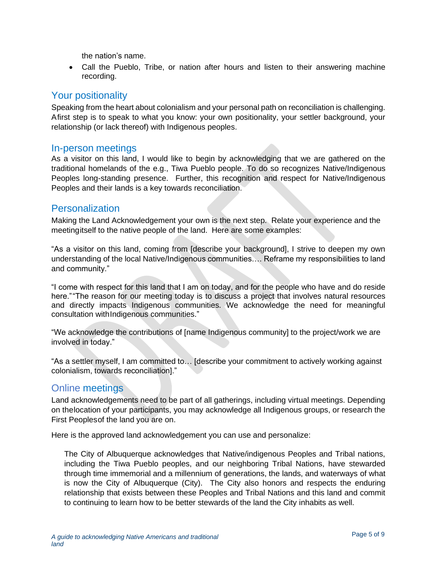the nation's name.

• Call the Pueblo, Tribe, or nation after hours and listen to their answering machine recording.

### <span id="page-6-0"></span>Your positionality

Speaking from the heart about colonialism and your personal path on reconciliation is challenging. Afirst step is to speak to what you know: your own positionality, your settler background, your relationship (or lack thereof) with Indigenous peoples.

### <span id="page-6-1"></span>In-person meetings

As a visitor on this land, I would like to begin by acknowledging that we are gathered on the traditional homelands of the e.g., Tiwa Pueblo people. To do so recognizes Native/Indigenous Peoples long-standing presence. Further, this recognition and respect for Native/Indigenous Peoples and their lands is a key towards reconciliation.

### <span id="page-6-2"></span>**Personalization**

Making the Land Acknowledgement your own is the next step. Relate your experience and the meetingitself to the native people of the land. Here are some examples:

"As a visitor on this land, coming from [describe your background], I strive to deepen my own understanding of the local Native/Indigenous communities…. Reframe my responsibilities to land and community."

"I come with respect for this land that I am on today, and for the people who have and do reside here.""The reason for our meeting today is to discuss a project that involves natural resources and directly impacts Indigenous communities. We acknowledge the need for meaningful consultation withIndigenous communities."

"We acknowledge the contributions of [name Indigenous community] to the project/work we are involved in today."

"As a settler myself, I am committed to… [describe your commitment to actively working against colonialism, towards reconciliation]."

### <span id="page-6-3"></span>Online meetings

Land acknowledgements need to be part of all gatherings, including virtual meetings. Depending on thelocation of your participants, you may acknowledge all Indigenous groups, or research the First Peoplesof the land you are on.

Here is the approved land acknowledgement you can use and personalize:

The City of Albuquerque acknowledges that Native/indigenous Peoples and Tribal nations, including the Tiwa Pueblo peoples, and our neighboring Tribal Nations, have stewarded through time immemorial and a millennium of generations, the lands, and waterways of what is now the City of Albuquerque (City). The City also honors and respects the enduring relationship that exists between these Peoples and Tribal Nations and this land and commit to continuing to learn how to be better stewards of the land the City inhabits as well.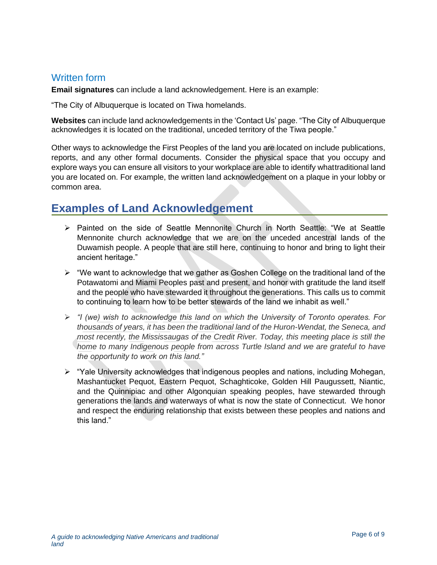### <span id="page-7-0"></span>Written form

**Email signatures** can include a land acknowledgement. Here is an example:

"The City of Albuquerque is located on Tiwa homelands.

**Websites** can include land acknowledgements in the 'Contact Us' page. "The City of Albuquerque acknowledges it is located on the traditional, unceded territory of the Tiwa people."

Other ways to acknowledge the First Peoples of the land you are located on include publications, reports, and any other formal documents. Consider the physical space that you occupy and explore ways you can ensure all visitors to your workplace are able to identify whattraditional land you are located on. For example, the written land acknowledgement on a plaque in your lobby or common area.

# <span id="page-7-1"></span>**Examples of Land Acknowledgement**

- ➢ Painted on the side of Seattle Mennonite Church in North Seattle: "We at Seattle Mennonite church acknowledge that we are on the unceded ancestral lands of the Duwamish people. A people that are still here, continuing to honor and bring to light their ancient heritage."
- $\triangleright$  "We want to acknowledge that we gather as Goshen College on the traditional land of the Potawatomi and Miami Peoples past and present, and honor with gratitude the land itself and the people who have stewarded it throughout the generations. This calls us to commit to continuing to learn how to be better stewards of the land we inhabit as well."
- ➢ *"I (we) wish to acknowledge this land on which the University of Toronto operates. For thousands of years, it has been the traditional land of the Huron-Wendat, the Seneca, and most recently, the Mississaugas of the Credit River. Today, this meeting place is still the home to many Indigenous people from across Turtle Island and we are grateful to have the opportunity to work on this land."*
- $\triangleright$  "Yale University acknowledges that indigenous peoples and nations, including Mohegan, Mashantucket Pequot, Eastern Pequot, Schaghticoke, Golden Hill Paugussett, Niantic, and the Quinnipiac and other Algonquian speaking peoples, have stewarded through generations the lands and waterways of what is now the state of Connecticut. We honor and respect the enduring relationship that exists between these peoples and nations and this land."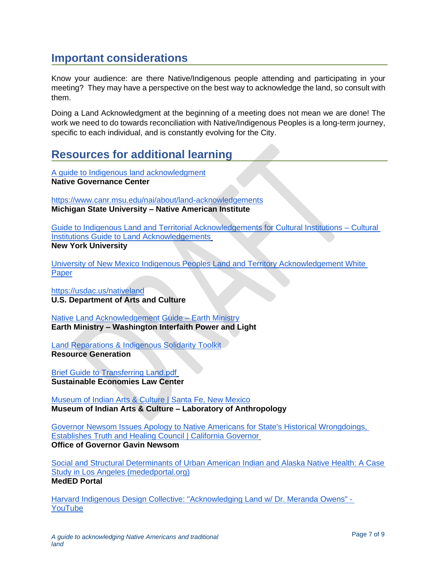# <span id="page-8-0"></span>**Important considerations**

Know your audience: are there Native/Indigenous people attending and participating in your meeting? They may have a perspective on the best way to acknowledge the land, so consult with them.

Doing a Land Acknowledgment at the beginning of a meeting does not mean we are done! The work we need to do towards reconciliation with Native/Indigenous Peoples is a long-term journey, specific to each individual, and is constantly evolving for the City.

# <span id="page-8-1"></span>**Resources for additional learning**

[A guide to Indigenous land acknowledgment](https://nativegov.org/a-guide-to-indigenous-land-acknowledgment/?fbclid=IwAR0CKuVdxDYLu3Ed_1WhlB4ppFneoEHOWPDWTfiuSIiB9_gWXjm2DDH9jxk)  **Native Governance Center**

<https://www.canr.msu.edu/nai/about/land-acknowledgements> **Michigan State University – Native American Institute**

[Guide to Indigenous Land and Territorial Acknowledgements for Cultural Institutions –](http://landacknowledgements.org/) Cultural [Institutions Guide to Land Acknowledgements](http://landacknowledgements.org/) **New York University**

[University of New Mexico Indigenous Peoples Land and Territory Acknowledgement White](https://diverse.unm.edu/common/documents/whitepaperacknowledgement.pdf)  **[Paper](https://diverse.unm.edu/common/documents/whitepaperacknowledgement.pdf)** 

<https://usdac.us/nativeland> **U.S. Department of Arts and Culture**

[Native Land Acknowledgement Guide –](https://earthministry.org/native-land-acknowledgement-guide/) Earth Ministry **Earth Ministry – Washington Interfaith Power and Light**

[Land Reparations & Indigenous Solidarity Toolkit](https://resourcegeneration.org/land-reparations-indigenous-solidarity-action-guide/) **Resource Generation**

[Brief Guide to Transferring Land.pdf](https://drive.google.com/file/d/0BznGM1zCsJPKeWZDdEpOMUVMeXBiYjlJTkpyODZyWGRwS3lB/view) **Sustainable Economies Law Center**

[Museum of Indian Arts & Culture | Santa Fe, New Mexico](http://miaclab.org/) **Museum of Indian Arts & Culture – Laboratory of Anthropology**

[Governor Newsom Issues Apology to Native Americans for State's Historical Wrongdoings,](https://www.gov.ca.gov/2019/06/18/governor-newsom-issues-apology-to-native-americans-for-states-historical-wrongdoings-establishes-truth-and-healing-council/)  [Establishes Truth and Healing Council | California Governor](https://www.gov.ca.gov/2019/06/18/governor-newsom-issues-apology-to-native-americans-for-states-historical-wrongdoings-establishes-truth-and-healing-council/) **Office of Governor Gavin Newsom**

[Social and Structural Determinants of Urban American Indian](https://www.mededportal.org/doi/pdf/10.15766/mep_2374-8265.10825) and Alaska Native Health: A Case [Study in Los Angeles \(mededportal.org\)](https://www.mededportal.org/doi/pdf/10.15766/mep_2374-8265.10825)

### **MedED Portal**

[Harvard Indigenous Design Collective: "Acknowledging Land w/ Dr. Meranda Owens" -](https://www.youtube.com/watch?v=PCJYnzicBiA) [YouTube](https://www.youtube.com/watch?v=PCJYnzicBiA)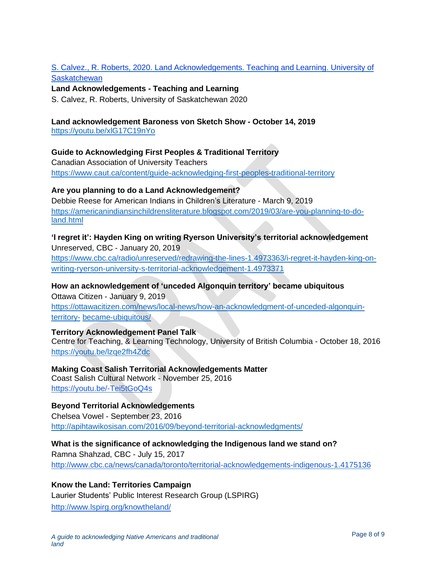### S. Calvez., R. Roberts, 2020. Land Acknowledgements. Teaching and Learning. University of **Saskatchewan**

### **Land Acknowledgements - Teaching and Learning**

S. Calvez, R. Roberts, University of Saskatchewan 2020

#### **Land acknowledgement Baroness von Sketch Show - October 14, 2019**

<https://youtu.be/xlG17C19nYo>

#### **Guide to Acknowledging First Peoples & Traditional Territory**

Canadian Association of University Teachers <https://www.caut.ca/content/guide-acknowledging-first-peoples-traditional-territory>

#### **Are you planning to do a Land Acknowledgement?**

Debbie Reese for American Indians in Children's Literature - March 9, 2019 [https://americanindiansinchildrensliterature.blogspot.com/2019/03/are-you-planning-to-do](https://americanindiansinchildrensliterature.blogspot.com/2019/03/are-you-planning-to-do-land.html)[land.html](https://americanindiansinchildrensliterature.blogspot.com/2019/03/are-you-planning-to-do-land.html)

### **'I regret it': Hayden King on writing Ryerson University's territorial acknowledgement** Unreserved, CBC - January 20, 2019

[https://www.cbc.ca/radio/unreserved/redrawing-the-lines-1.4973363/i-regret-it-hayden-king-on](https://www.cbc.ca/radio/unreserved/redrawing-the-lines-1.4973363/i-regret-it-hayden-king-on-writing-ryerson-university-s-territorial-acknowledgement-1.4973371)[writing-ryerson-university-s-territorial-acknowledgement-1.4973371](https://www.cbc.ca/radio/unreserved/redrawing-the-lines-1.4973363/i-regret-it-hayden-king-on-writing-ryerson-university-s-territorial-acknowledgement-1.4973371)

### **How an acknowledgement of 'unceded Algonquin territory' became ubiquitous**

Ottawa Citizen - January 9, 2019 [https://ottawacitizen.com/news/local-news/how-an-acknowledgment-of-unceded-algonquin](https://ottawacitizen.com/news/local-news/how-an-acknowledgment-of-unceded-algonquin-territory-became-ubiquitous/)[territory-](https://ottawacitizen.com/news/local-news/how-an-acknowledgment-of-unceded-algonquin-territory-became-ubiquitous/) [became-ubiquitous/](https://ottawacitizen.com/news/local-news/how-an-acknowledgment-of-unceded-algonquin-territory-became-ubiquitous/)

### **Territory Acknowledgement Panel Talk**

Centre for Teaching, & Learning Technology, University of British Columbia - October 18, 2016 https://voutu.be/lzge2fh4Zdc

#### **Making Coast Salish Territorial Acknowledgements Matter**

Coast Salish Cultural Network - November 25, 2016 <https://youtu.be/-Tei5tGoQ4s>

#### **Beyond Territorial Acknowledgements**

Chelsea Vowel - September 23, 2016 <http://apihtawikosisan.com/2016/09/beyond-territorial-acknowledgments/>

### **What is the significance of acknowledging the Indigenous land we stand on?** Ramna Shahzad, CBC - July 15, 2017

<http://www.cbc.ca/news/canada/toronto/territorial-acknowledgements-indigenous-1.4175136>

### **Know the Land: Territories Campaign**

Laurier Students' Public Interest Research Group (LSPIRG) <http://www.lspirg.org/knowtheland/>